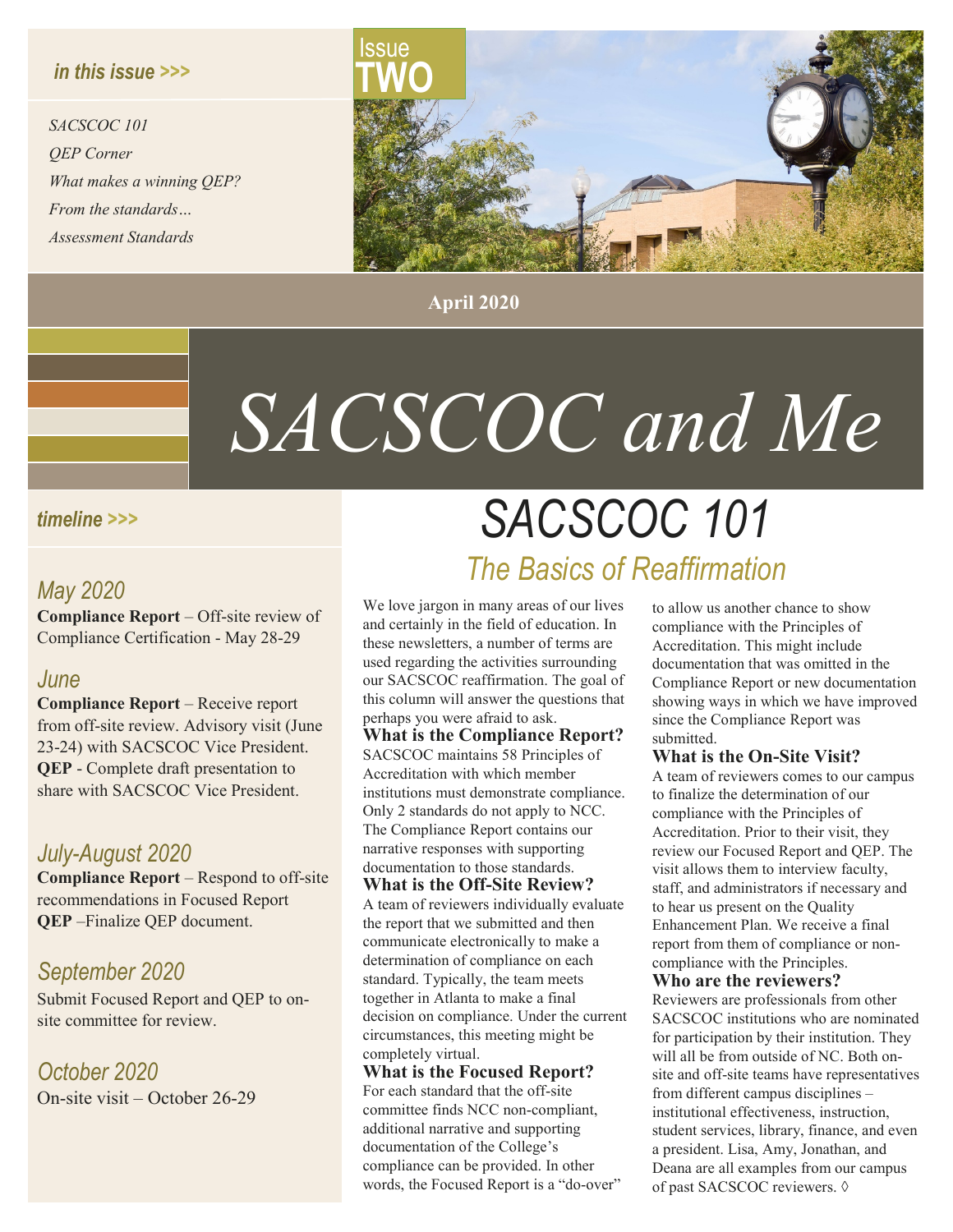#### *in this issue >>>*

*SACSCOC 101 QEP Corner What makes a winning QEP? From the standards… Assessment Standards*



**April 2020**

# *SACSCOC and Me*

#### *timeline >>>*

#### *May 2020*

**Compliance Report** – Off-site review of Compliance Certification - May 28-29

#### *June*

**Compliance Report** – Receive report from off-site review. Advisory visit (June 23-24) with SACSCOC Vice President. **QEP** - Complete draft presentation to share with SACSCOC Vice President.

#### *July-August 2020*

**Compliance Report** – Respond to off-site recommendations in Focused Report **QEP** –Finalize QEP document.

#### *September 2020*

Submit Focused Report and QEP to onsite committee for review.

*October 2020* On-site visit – October 26-29

## *SACSCOC 101 The Basics of Reaffirmation*

We love jargon in many areas of our lives and certainly in the field of education. In these newsletters, a number of terms are used regarding the activities surrounding our SACSCOC reaffirmation. The goal of this column will answer the questions that perhaps you were afraid to ask.

**What is the Compliance Report?**  SACSCOC maintains 58 Principles of Accreditation with which member institutions must demonstrate compliance. Only 2 standards do not apply to NCC. The Compliance Report contains our narrative responses with supporting documentation to those standards.

**What is the Off-Site Review?** A team of reviewers individually evaluate the report that we submitted and then communicate electronically to make a determination of compliance on each standard. Typically, the team meets together in Atlanta to make a final decision on compliance. Under the current circumstances, this meeting might be completely virtual.

**What is the Focused Report?**  For each standard that the off-site committee finds NCC non-compliant, additional narrative and supporting documentation of the College's compliance can be provided. In other words, the Focused Report is a "do-over"

to allow us another chance to show compliance with the Principles of Accreditation. This might include documentation that was omitted in the Compliance Report or new documentation showing ways in which we have improved since the Compliance Report was submitted.

#### **What is the On-Site Visit?**

A team of reviewers comes to our campus to finalize the determination of our compliance with the Principles of Accreditation. Prior to their visit, they review our Focused Report and QEP. The visit allows them to interview faculty, staff, and administrators if necessary and to hear us present on the Quality Enhancement Plan. We receive a final report from them of compliance or noncompliance with the Principles.

#### **Who are the reviewers?**

Reviewers are professionals from other SACSCOC institutions who are nominated for participation by their institution. They will all be from outside of NC. Both onsite and off-site teams have representatives from different campus disciplines – institutional effectiveness, instruction, student services, library, finance, and even a president. Lisa, Amy, Jonathan, and Deana are all examples from our campus of past SACSCOC reviewers. ◊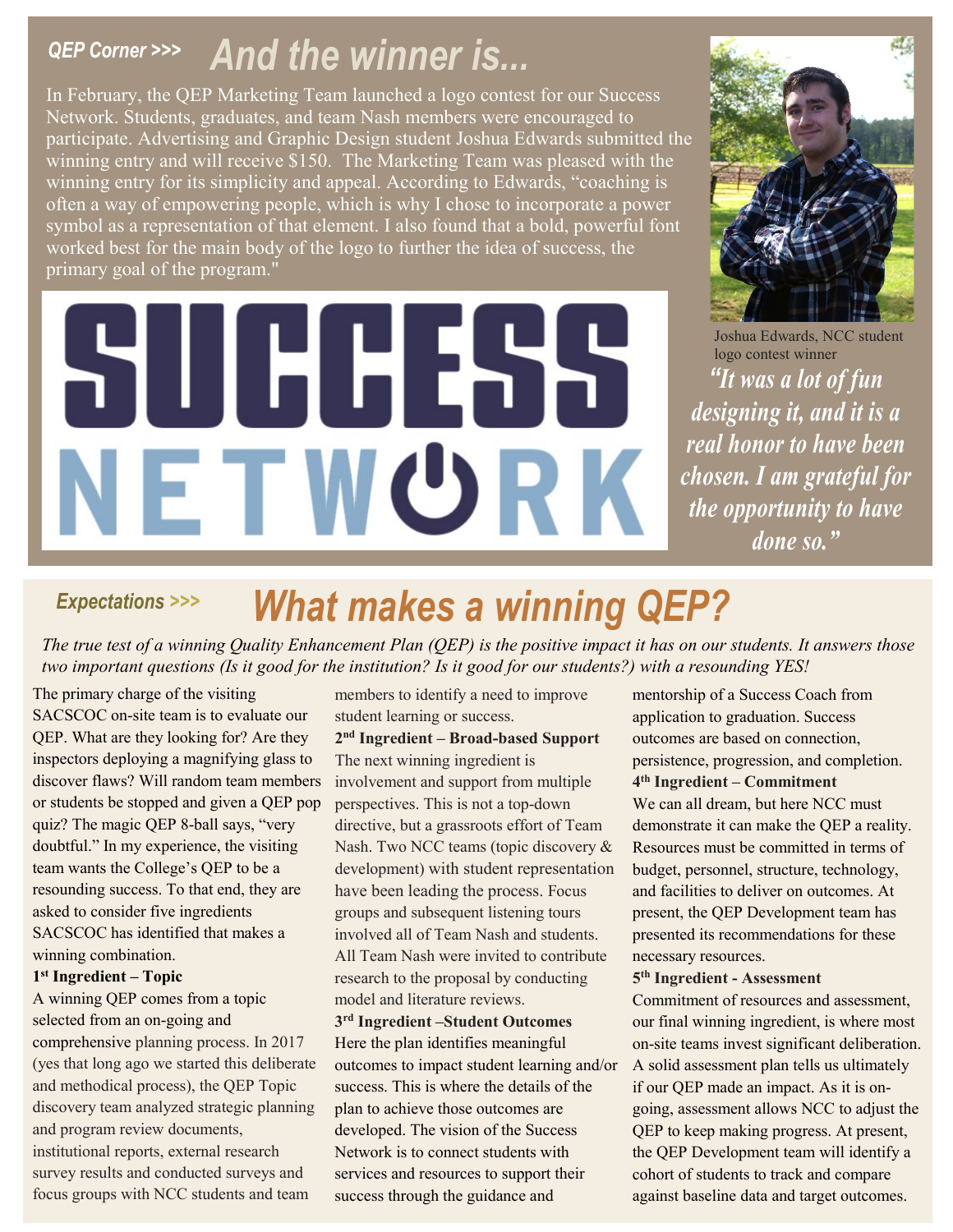## *QEP Corner >>> And the winner is...*

In February, the QEP Marketing Team launched a logo contest for our Success Network. Students, graduates, and team Nash members were encouraged to participate. Advertising and Graphic Design student Joshua Edwards submitted the winning entry and will receive \$150. The Marketing Team was pleased with the winning entry for its simplicity and appeal. According to Edwards, "coaching is often a way of empowering people, which is why I chose to incorporate a power symbol as a representation of that element. I also found that a bold, powerful font worked best for the main body of the logo to further the idea of success, the primary goal of the program."

# HH XXX ETWORK



*"It was a lot of fun designing it, and it is a real honor to have been chosen. I am grateful for the opportunity to have done so."* Joshua Edwards, NCC student logo contest winner

## *Expectations >>> What makes a winning QEP?*

*The true test of a winning Quality Enhancement Plan (QEP) is the positive impact it has on our students. It answers those two important questions (Is it good for the institution? Is it good for our students?) with a resounding YES!*

The primary charge of the visiting SACSCOC on-site team is to evaluate our QEP. What are they looking for? Are they inspectors deploying a magnifying glass to discover flaws? Will random team members or students be stopped and given a QEP pop quiz? The magic QEP 8-ball says, "very doubtful." In my experience, the visiting team wants the College's QEP to be a resounding success. To that end, they are asked to consider five ingredients SACSCOC has identified that makes a winning combination.

#### **1st Ingredient – Topic**

A winning QEP comes from a topic selected from an on-going and comprehensive planning process. In 2017 (yes that long ago we started this deliberate and methodical process), the QEP Topic discovery team analyzed strategic planning and program review documents, institutional reports, external research survey results and conducted surveys and focus groups with NCC students and team

members to identify a need to improve student learning or success.

**2nd Ingredient – Broad-based Support** The next winning ingredient is involvement and support from multiple perspectives. This is not a top-down directive, but a grassroots effort of Team Nash. Two NCC teams (topic discovery & development) with student representation have been leading the process. Focus groups and subsequent listening tours involved all of Team Nash and students. All Team Nash were invited to contribute research to the proposal by conducting model and literature reviews.

#### **3rd Ingredient –Student Outcomes**

Here the plan identifies meaningful outcomes to impact student learning and/or success. This is where the details of the plan to achieve those outcomes are developed. The vision of the Success Network is to connect students with services and resources to support their success through the guidance and

mentorship of a Success Coach from application to graduation. Success outcomes are based on connection, persistence, progression, and completion. **4th Ingredient – Commitment**  We can all dream, but here NCC must demonstrate it can make the QEP a reality. Resources must be committed in terms of budget, personnel, structure, technology, and facilities to deliver on outcomes. At present, the QEP Development team has presented its recommendations for these necessary resources.

#### **5th Ingredient - Assessment**

Commitment of resources and assessment, our final winning ingredient, is where most on-site teams invest significant deliberation. A solid assessment plan tells us ultimately if our QEP made an impact. As it is ongoing, assessment allows NCC to adjust the QEP to keep making progress. At present, the QEP Development team will identify a cohort of students to track and compare against baseline data and target outcomes.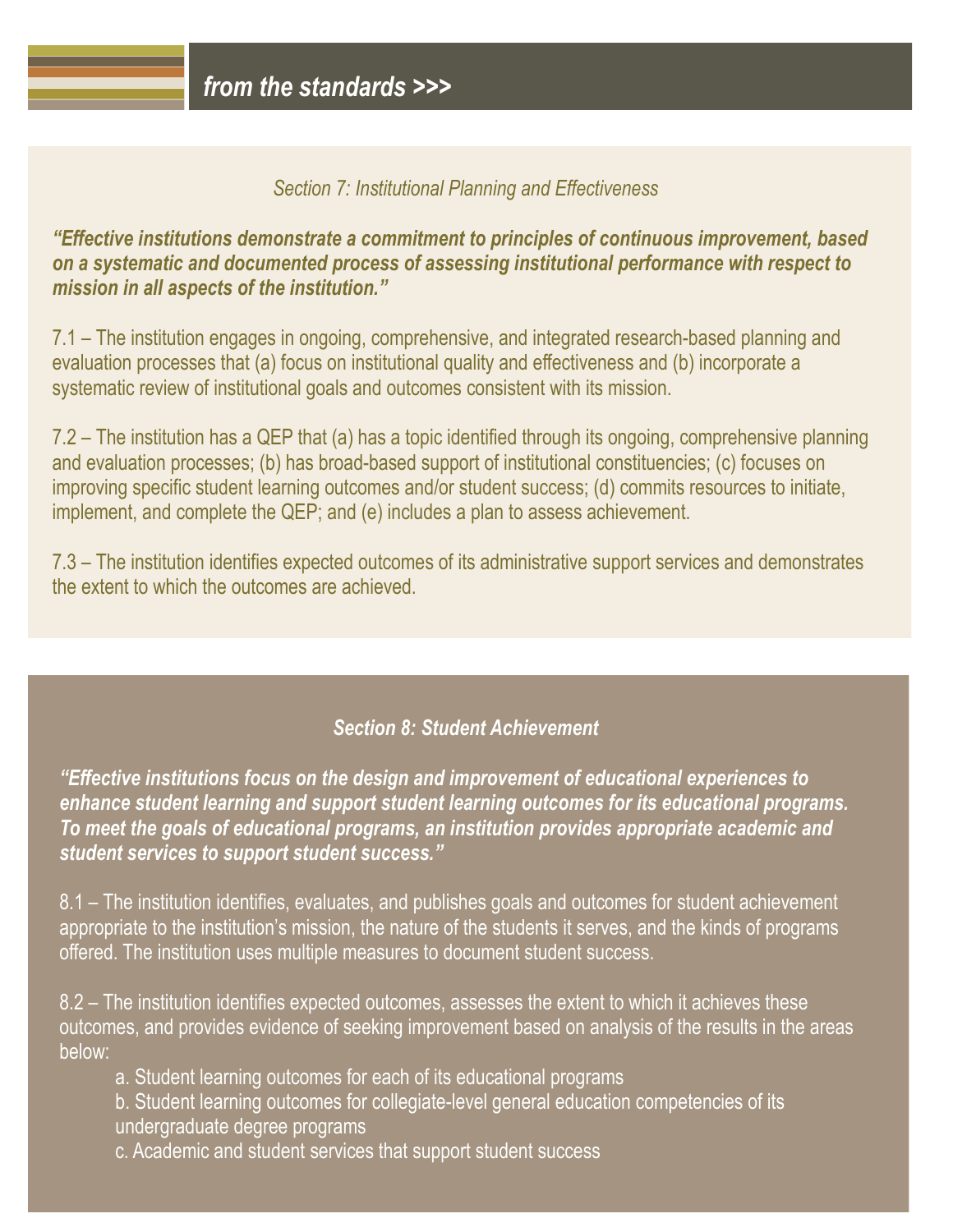#### *Section 7: Institutional Planning and Effectiveness*

*"Effective institutions demonstrate a commitment to principles of continuous improvement, based on a systematic and documented process of assessing institutional performance with respect to mission in all aspects of the institution."*

7.1 – The institution engages in ongoing, comprehensive, and integrated research-based planning and evaluation processes that (a) focus on institutional quality and effectiveness and (b) incorporate a systematic review of institutional goals and outcomes consistent with its mission.

7.2 – The institution has a QEP that (a) has a topic identified through its ongoing, comprehensive planning and evaluation processes; (b) has broad-based support of institutional constituencies; (c) focuses on improving specific student learning outcomes and/or student success; (d) commits resources to initiate, implement, and complete the QEP; and (e) includes a plan to assess achievement.

7.3 – The institution identifies expected outcomes of its administrative support services and demonstrates the extent to which the outcomes are achieved.

#### *Section 8: Student Achievement*

*"Effective institutions focus on the design and improvement of educational experiences to enhance student learning and support student learning outcomes for its educational programs. To meet the goals of educational programs, an institution provides appropriate academic and student services to support student success."*

8.1 – The institution identifies, evaluates, and publishes goals and outcomes for student achievement appropriate to the institution's mission, the nature of the students it serves, and the kinds of programs offered. The institution uses multiple measures to document student success.

8.2 – The institution identifies expected outcomes, assesses the extent to which it achieves these outcomes, and provides evidence of seeking improvement based on analysis of the results in the areas below:

a. Student learning outcomes for each of its educational programs

b. Student learning outcomes for collegiate-level general education competencies of its

undergraduate degree programs

c. Academic and student services that support student success